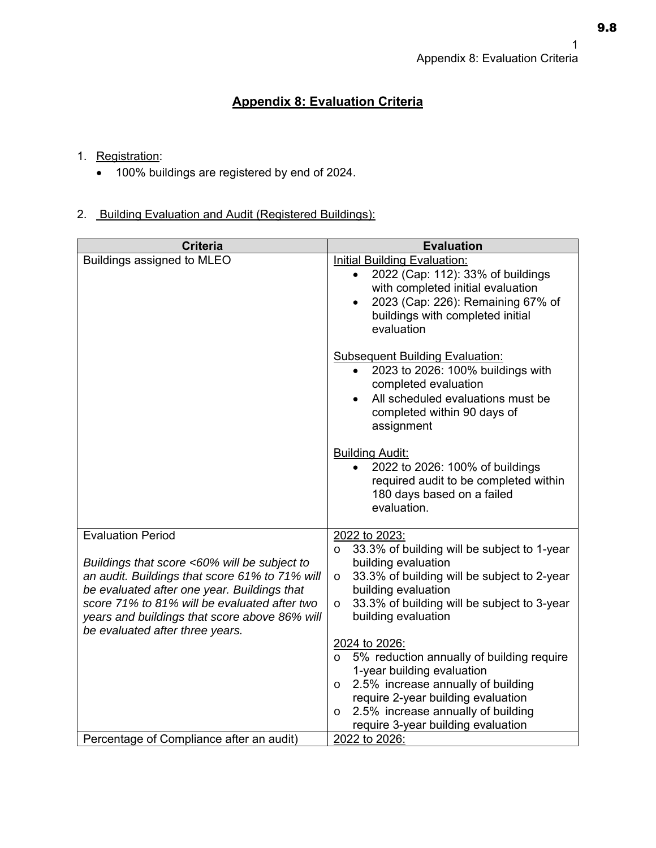## **Appendix 8: Evaluation Criteria**

## 1. Registration:

100% buildings are registered by end of 2024.

## 2. Building Evaluation and Audit (Registered Buildings):

| <b>Criteria</b>                                                                               | <b>Evaluation</b>                                                                                                                                                                                                              |
|-----------------------------------------------------------------------------------------------|--------------------------------------------------------------------------------------------------------------------------------------------------------------------------------------------------------------------------------|
| Buildings assigned to MLEO                                                                    | <b>Initial Building Evaluation:</b><br>2022 (Cap: 112): 33% of buildings<br>$\bullet$<br>with completed initial evaluation<br>2023 (Cap: 226): Remaining 67% of<br>$\bullet$<br>buildings with completed initial<br>evaluation |
|                                                                                               | <b>Subsequent Building Evaluation:</b><br>2023 to 2026: 100% buildings with<br>$\bullet$<br>completed evaluation<br>All scheduled evaluations must be<br>$\bullet$<br>completed within 90 days of<br>assignment                |
|                                                                                               | <b>Building Audit:</b><br>2022 to 2026: 100% of buildings<br>$\bullet$<br>required audit to be completed within<br>180 days based on a failed<br>evaluation.                                                                   |
| <b>Evaluation Period</b>                                                                      | 2022 to 2023:                                                                                                                                                                                                                  |
| Buildings that score <60% will be subject to                                                  | 33.3% of building will be subject to 1-year<br>$\circ$<br>building evaluation                                                                                                                                                  |
| an audit. Buildings that score 61% to 71% will                                                | 33.3% of building will be subject to 2-year<br>$\circ$                                                                                                                                                                         |
| be evaluated after one year. Buildings that                                                   | building evaluation                                                                                                                                                                                                            |
| score 71% to 81% will be evaluated after two<br>years and buildings that score above 86% will | 33.3% of building will be subject to 3-year<br>$\circ$<br>building evaluation                                                                                                                                                  |
| be evaluated after three years.                                                               |                                                                                                                                                                                                                                |
|                                                                                               | 2024 to 2026:                                                                                                                                                                                                                  |
|                                                                                               | 5% reduction annually of building require<br>$\circ$<br>1-year building evaluation                                                                                                                                             |
|                                                                                               | 2.5% increase annually of building<br>$\circ$                                                                                                                                                                                  |
|                                                                                               | require 2-year building evaluation                                                                                                                                                                                             |
|                                                                                               | 2.5% increase annually of building<br>$\circ$                                                                                                                                                                                  |
| Percentage of Compliance after an audit)                                                      | require 3-year building evaluation<br>2022 to 2026:                                                                                                                                                                            |